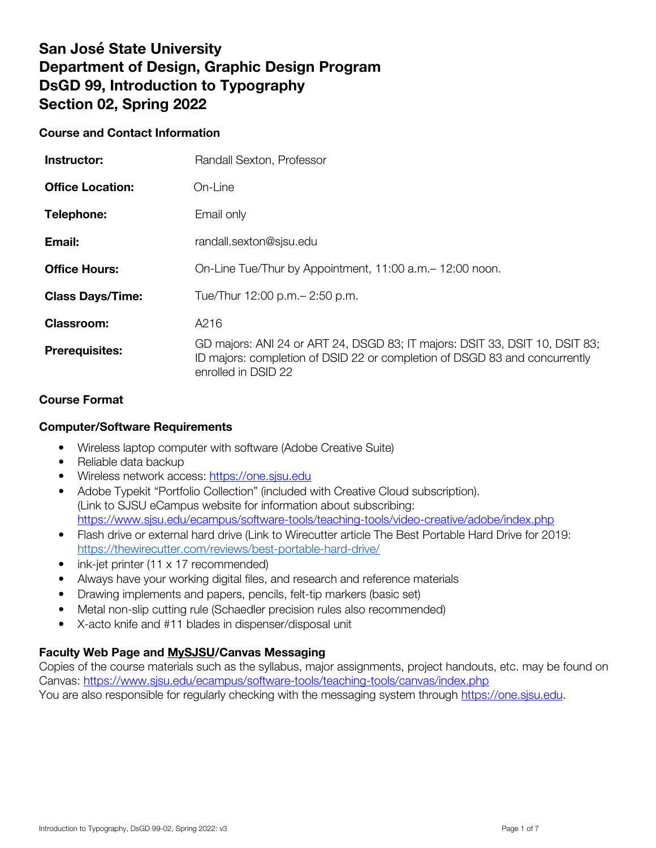# **San José State University Department of Design, Graphic Design Program DsGD 99, Introduction to Typography Section 02, Spring 2022**

## **Course and Contact Information**

| Instructor:             | Randall Sexton, Professor                                                                                                                                                        |
|-------------------------|----------------------------------------------------------------------------------------------------------------------------------------------------------------------------------|
| <b>Office Location:</b> | On-Line                                                                                                                                                                          |
| Telephone:              | Email only                                                                                                                                                                       |
| Email:                  | randall.sexton@sjsu.edu                                                                                                                                                          |
| <b>Office Hours:</b>    | On-Line Tue/Thur by Appointment, 11:00 a.m. - 12:00 noon.                                                                                                                        |
| <b>Class Days/Time:</b> | Tue/Thur 12:00 p.m. - 2:50 p.m.                                                                                                                                                  |
| <b>Classroom:</b>       | A216                                                                                                                                                                             |
| <b>Prerequisites:</b>   | GD majors: ANI 24 or ART 24, DSGD 83; IT majors: DSIT 33, DSIT 10, DSIT 83;<br>ID majors: completion of DSID 22 or completion of DSGD 83 and concurrently<br>enrolled in DSID 22 |

# **Course Format**

## **Computer/Software Requirements**

- Wireless laptop computer with software (Adobe Creative Suite)
- Reliable data backup
- Wireless network access: https://one.sjsu.edu
- Adobe Typekit "Portfolio Collection" (included with Creative Cloud subscription). (Link to SJSU eCampus website for information about subscribing: https://www.sjsu.edu/ecampus/software-tools/teaching-tools/video-creative/adobe/index.php
- Flash drive or external hard drive (Link to Wirecutter article The Best Portable Hard Drive for 2019: https://thewirecutter.com/reviews/best-portable-hard-drive/
- ink-jet printer (11 x 17 recommended)
- Always have your working digital files, and research and reference materials
- Drawing implements and papers, pencils, felt-tip markers (basic set)
- Metal non-slip cutting rule (Schaedler precision rules also recommended)
- X-acto knife and #11 blades in dispenser/disposal unit

## Faculty Web Page and MySJSU/Canvas Messaging

Copies of the course materials such as the syllabus, major assignments, project handouts, etc. may be found on Canvas: https://www.sjsu.edu/ecampus/software-tools/teaching-tools/canvas/index.php You are also responsible for regularly checking with the messaging system through https://one.sjsu.edu.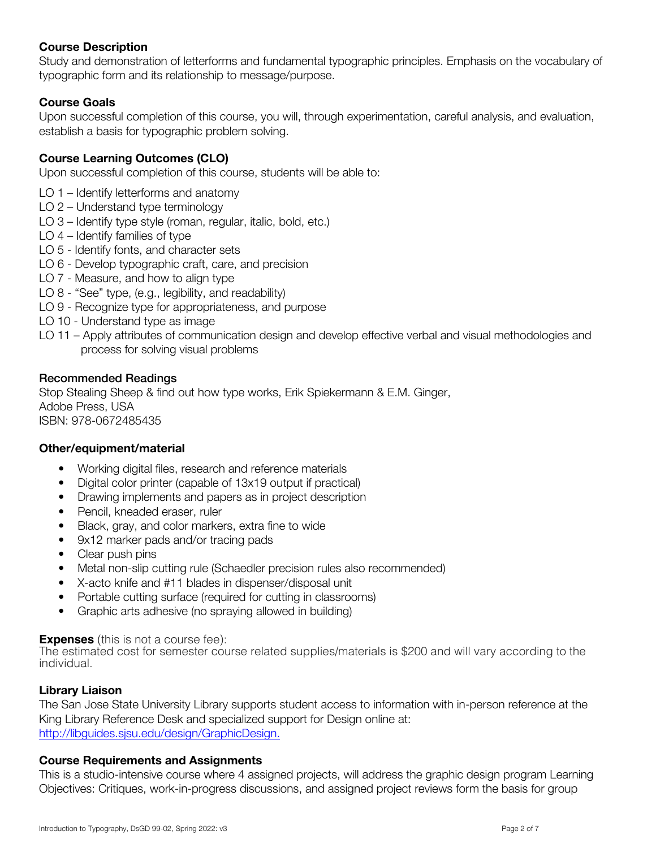# **Course Description**

Study and demonstration of letterforms and fundamental typographic principles. Emphasis on the vocabulary of typographic form and its relationship to message/purpose.

## **Course Goals**

Upon successful completion of this course, you will, through experimentation, careful analysis, and evaluation, establish a basis for typographic problem solving.

# **Course Learning Outcomes (CLO)**

Upon successful completion of this course, students will be able to:

- LO 1 Identify letterforms and anatomy
- LO 2 Understand type terminology
- LO 3 Identify type style (roman, regular, italic, bold, etc.)
- LO 4 Identify families of type
- LO 5 Identify fonts, and character sets
- LO 6 Develop typographic craft, care, and precision
- LO 7 Measure, and how to align type
- LO 8 "See" type, (e.g., legibility, and readability)
- LO 9 Recognize type for appropriateness, and purpose
- LO 10 Understand type as image
- LO 11 Apply attributes of communication design and develop effective verbal and visual methodologies and process for solving visual problems

#### Recommended Readings

Stop Stealing Sheep & find out how type works, Erik Spiekermann & E.M. Ginger, Adobe Press, USA ISBN: 978-0672485435

#### **Other/equipment/material**

- Working digital files, research and reference materials
- Digital color printer (capable of 13x19 output if practical)
- Drawing implements and papers as in project description
- Pencil, kneaded eraser, ruler
- Black, gray, and color markers, extra fine to wide
- 9x12 marker pads and/or tracing pads
- Clear push pins
- Metal non-slip cutting rule (Schaedler precision rules also recommended)
- X-acto knife and #11 blades in dispenser/disposal unit
- Portable cutting surface (required for cutting in classrooms)
- Graphic arts adhesive (no spraying allowed in building)

#### **Expenses** (this is not a course fee):

The estimated cost for semester course related supplies/materials is \$200 and will vary according to the individual.

## **Library Liaison**

The San Jose State University Library supports student access to information with in-person reference at the King Library Reference Desk and specialized support for Design online at: http://libguides.sjsu.edu/design/GraphicDesign.

#### **Course Requirements and Assignments**

This is a studio-intensive course where 4 assigned projects, will address the graphic design program Learning Objectives: Critiques, work-in-progress discussions, and assigned project reviews form the basis for group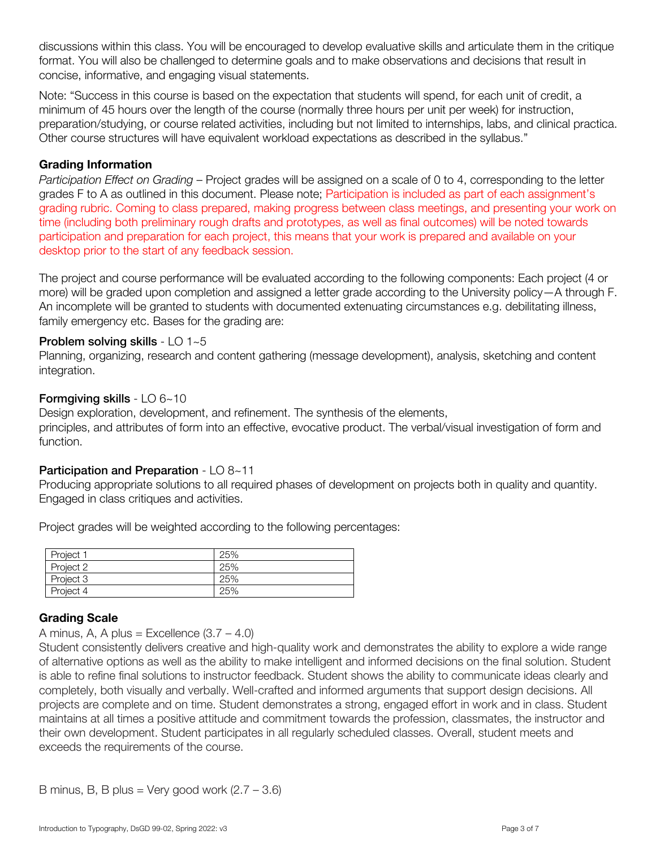discussions within this class. You will be encouraged to develop evaluative skills and articulate them in the critique format. You will also be challenged to determine goals and to make observations and decisions that result in concise, informative, and engaging visual statements.

Note: "Success in this course is based on the expectation that students will spend, for each unit of credit, a minimum of 45 hours over the length of the course (normally three hours per unit per week) for instruction, preparation/studying, or course related activities, including but not limited to internships, labs, and clinical practica. Other course structures will have equivalent workload expectations as described in the syllabus."

## Grading Information

*Participation Effect on Grading* – Project grades will be assigned on a scale of 0 to 4, corresponding to the letter grades F to A as outlined in this document. Please note; Participation is included as part of each assignment's grading rubric. Coming to class prepared, making progress between class meetings, and presenting your work on time (including both preliminary rough drafts and prototypes, as well as final outcomes) will be noted towards participation and preparation for each project, this means that your work is prepared and available on your desktop prior to the start of any feedback session.

The project and course performance will be evaluated according to the following components: Each project (4 or more) will be graded upon completion and assigned a letter grade according to the University policy—A through F. An incomplete will be granted to students with documented extenuating circumstances e.g. debilitating illness, family emergency etc. Bases for the grading are:

#### Problem solving skills - LO 1~5

Planning, organizing, research and content gathering (message development), analysis, sketching and content integration.

#### Formgiving skills - LO 6~10

Design exploration, development, and refinement. The synthesis of the elements, principles, and attributes of form into an effective, evocative product. The verbal/visual investigation of form and function.

## Participation and Preparation - LO 8~11

Producing appropriate solutions to all required phases of development on projects both in quality and quantity. Engaged in class critiques and activities.

Project grades will be weighted according to the following percentages:

| Project 1 | 25% |
|-----------|-----|
| Project 2 | 25% |
| Project 3 | 25% |
| Project 4 | 25% |

## Grading Scale

A minus, A, A plus = Excellence  $(3.7 - 4.0)$ 

Student consistently delivers creative and high-quality work and demonstrates the ability to explore a wide range of alternative options as well as the ability to make intelligent and informed decisions on the final solution. Student is able to refine final solutions to instructor feedback. Student shows the ability to communicate ideas clearly and completely, both visually and verbally. Well-crafted and informed arguments that support design decisions. All projects are complete and on time. Student demonstrates a strong, engaged effort in work and in class. Student maintains at all times a positive attitude and commitment towards the profession, classmates, the instructor and their own development. Student participates in all regularly scheduled classes. Overall, student meets and exceeds the requirements of the course.

B minus, B, B plus = Very good work  $(2.7 - 3.6)$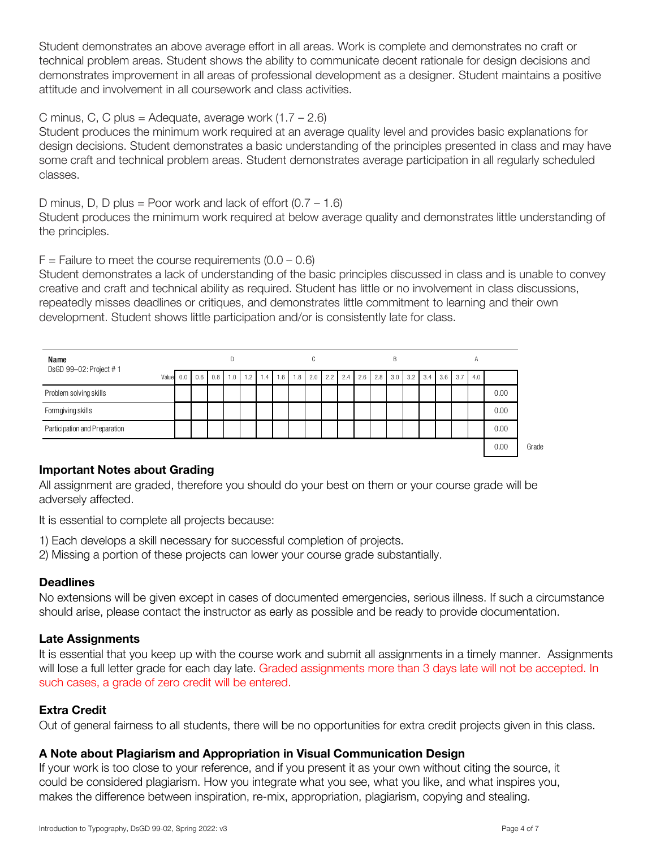Student demonstrates an above average effort in all areas. Work is complete and demonstrates no craft or technical problem areas. Student shows the ability to communicate decent rationale for design decisions and demonstrates improvement in all areas of professional development as a designer. Student maintains a positive attitude and involvement in all coursework and class activities.

## C minus, C, C plus = Adequate, average work  $(1.7 - 2.6)$

Student produces the minimum work required at an average quality level and provides basic explanations for design decisions. Student demonstrates a basic understanding of the principles presented in class and may have some craft and technical problem areas. Student demonstrates average participation in all regularly scheduled classes.

D minus, D, D plus = Poor work and lack of effort  $(0.7 - 1.6)$ 

Student produces the minimum work required at below average quality and demonstrates little understanding of the principles.

#### $F =$  Failure to meet the course requirements  $(0.0 - 0.6)$

Student demonstrates a lack of understanding of the basic principles discussed in class and is unable to convey creative and craft and technical ability as required. Student has little or no involvement in class discussions, repeatedly misses deadlines or critiques, and demonstrates little commitment to learning and their own development. Student shows little participation and/or is consistently late for class.

| Name                          |  | D            |     |     |     |     |     |     | C   |     |     |     |     | B |           |     |     |     | $\overline{A}$ |     |      |  |
|-------------------------------|--|--------------|-----|-----|-----|-----|-----|-----|-----|-----|-----|-----|-----|---|-----------|-----|-----|-----|----------------|-----|------|--|
| DsGD 99-02: Project #1        |  | Value<br>0.0 | 0.6 | 0.8 | 1.0 | 1.2 | 1.4 | 1.6 | 1.8 | 2.0 | 2.2 | 2.4 | 2.6 |   | $2.8$ 3.0 | 3.2 | 3.4 | 3.6 | 3.7            | 4.0 |      |  |
| Problem solving skills        |  |              |     |     |     |     |     |     |     |     |     |     |     |   |           |     |     |     |                |     | 0.00 |  |
| Formgiving skills             |  |              |     |     |     |     |     |     |     |     |     |     |     |   |           |     |     |     |                |     | 0.00 |  |
| Participation and Preparation |  |              |     |     |     |     |     |     |     |     |     |     |     |   |           |     |     |     |                |     | 0.00 |  |
|                               |  |              |     |     |     |     |     |     |     |     |     |     |     |   |           |     |     |     |                |     | 0.00 |  |

## Important Notes about Grading

All assignment are graded, therefore you should do your best on them or your course grade will be adversely affected.

It is essential to complete all projects because:

- 1) Each develops a skill necessary for successful completion of projects.
- 2) Missing a portion of these projects can lower your course grade substantially.

#### **Deadlines**

No extensions will be given except in cases of documented emergencies, serious illness. If such a circumstance should arise, please contact the instructor as early as possible and be ready to provide documentation.

## Late Assignments

It is essential that you keep up with the course work and submit all assignments in a timely manner. Assignments will lose a full letter grade for each day late. Graded assignments more than 3 days late will not be accepted. In such cases, a grade of zero credit will be entered.

#### Extra Credit

Out of general fairness to all students, there will be no opportunities for extra credit projects given in this class.

## **A Note about Plagiarism and Appropriation in Visual Communication Design**

If your work is too close to your reference, and if you present it as your own without citing the source, it could be considered plagiarism. How you integrate what you see, what you like, and what inspires you, makes the difference between inspiration, re-mix, appropriation, plagiarism, copying and stealing.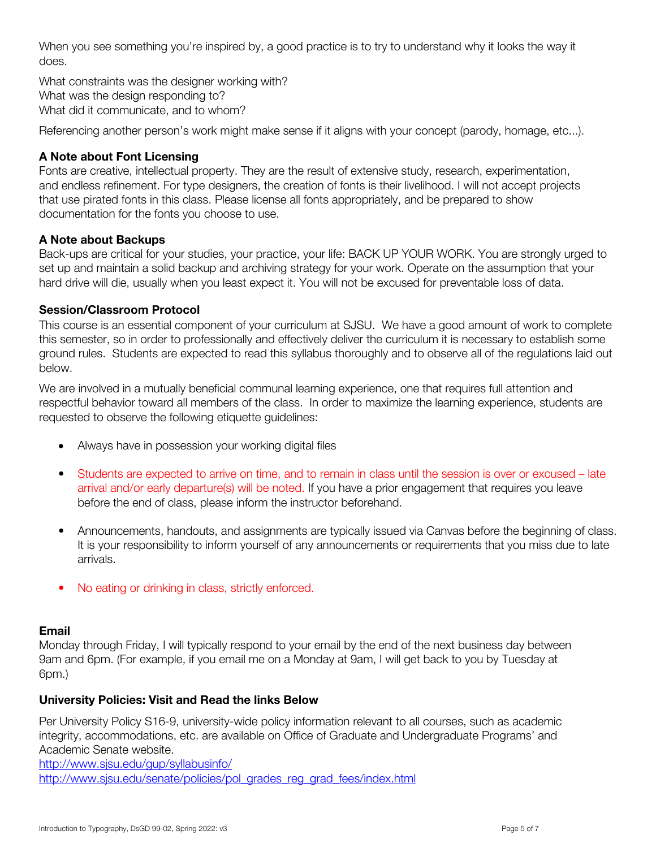When you see something you're inspired by, a good practice is to try to understand why it looks the way it does.

What constraints was the designer working with? What was the design responding to? What did it communicate, and to whom?

Referencing another person's work might make sense if it aligns with your concept (parody, homage, etc...).

# **A Note about Font Licensing**

Fonts are creative, intellectual property. They are the result of extensive study, research, experimentation, and endless refinement. For type designers, the creation of fonts is their livelihood. I will not accept projects that use pirated fonts in this class. Please license all fonts appropriately, and be prepared to show documentation for the fonts you choose to use.

## **A Note about Backups**

Back-ups are critical for your studies, your practice, your life: BACK UP YOUR WORK. You are strongly urged to set up and maintain a solid backup and archiving strategy for your work. Operate on the assumption that your hard drive will die, usually when you least expect it. You will not be excused for preventable loss of data.

## Session/Classroom Protocol

This course is an essential component of your curriculum at SJSU. We have a good amount of work to complete this semester, so in order to professionally and effectively deliver the curriculum it is necessary to establish some ground rules. Students are expected to read this syllabus thoroughly and to observe all of the regulations laid out below.

We are involved in a mutually beneficial communal learning experience, one that requires full attention and respectful behavior toward all members of the class. In order to maximize the learning experience, students are requested to observe the following etiquette guidelines:

- Always have in possession your working digital files
- Students are expected to arrive on time, and to remain in class until the session is over or excused late arrival and/or early departure(s) will be noted. If you have a prior engagement that requires you leave before the end of class, please inform the instructor beforehand.
- Announcements, handouts, and assignments are typically issued via Canvas before the beginning of class. It is your responsibility to inform yourself of any announcements or requirements that you miss due to late arrivals.
- No eating or drinking in class, strictly enforced.

## **Email**

Monday through Friday, I will typically respond to your email by the end of the next business day between 9am and 6pm. (For example, if you email me on a Monday at 9am, I will get back to you by Tuesday at 6pm.)

## University Policies: Visit and Read the links Below

Per University Policy S16-9, university-wide policy information relevant to all courses, such as academic integrity, accommodations, etc. are available on Office of Graduate and Undergraduate Programs' and Academic Senate website.

http://www.sjsu.edu/gup/syllabusinfo/ http://www.sjsu.edu/senate/policies/pol\_grades\_reg\_grad\_fees/index.html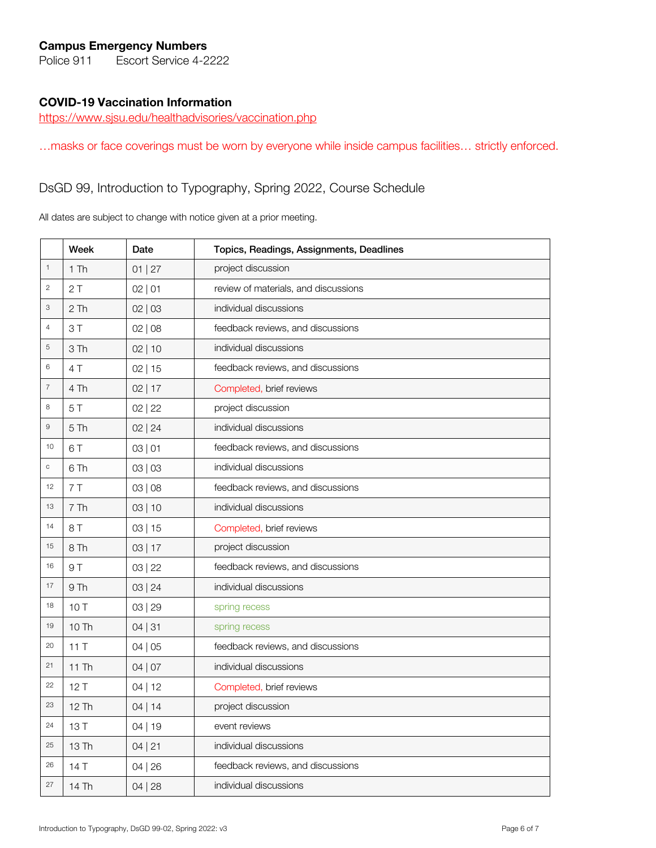## Campus Emergency Numbers

Police 911 Escort Service 4-2222

#### COVID-19 Vaccination Information

https://www.sjsu.edu/healthadvisories/vaccination.php

…masks or face coverings must be worn by everyone while inside campus facilities… strictly enforced.

# DsGD 99, Introduction to Typography, Spring 2022, Course Schedule

All dates are subject to change with notice given at a prior meeting.

|                  | Week   | Date      | Topics, Readings, Assignments, Deadlines |  |  |  |  |  |
|------------------|--------|-----------|------------------------------------------|--|--|--|--|--|
| $\mathbf 1$      | $1$ Th | 01   27   | project discussion                       |  |  |  |  |  |
| $\sqrt{2}$       | 2T     | 02   01   | review of materials, and discussions     |  |  |  |  |  |
| $\,3$            | 2Th    | 02   03   | individual discussions                   |  |  |  |  |  |
| $\overline{4}$   | 3T     | 02   08   | feedback reviews, and discussions        |  |  |  |  |  |
| 5                | 3Th    | 02 10     | individual discussions                   |  |  |  |  |  |
| $\,6$            | 4 T    | 02 15     | feedback reviews, and discussions        |  |  |  |  |  |
| $\boldsymbol{7}$ | 4 Th   | $02$   17 | Completed, brief reviews                 |  |  |  |  |  |
| 8                | 5T     | 02   22   | project discussion                       |  |  |  |  |  |
| $\hbox{9}$       | 5Th    | 02   24   | individual discussions                   |  |  |  |  |  |
| 10               | 6T     | 03   01   | feedback reviews, and discussions        |  |  |  |  |  |
| $\mathsf C$      | 6 Th   | 03   03   | individual discussions                   |  |  |  |  |  |
| 12               | 7T     | 03   08   | feedback reviews, and discussions        |  |  |  |  |  |
| 13               | 7Th    | 03 10     | individual discussions                   |  |  |  |  |  |
| 14               | 8 T    | 03 15     | Completed, brief reviews                 |  |  |  |  |  |
| 15               | 8 Th   | 03 17     | project discussion                       |  |  |  |  |  |
| 16               | 9 T    | 03   22   | feedback reviews, and discussions        |  |  |  |  |  |
| 17               | 9 Th   | 03   24   | individual discussions                   |  |  |  |  |  |
| 18               | 10T    | 03   29   | spring recess                            |  |  |  |  |  |
| 19               | 10 Th  | 04   31   | spring recess                            |  |  |  |  |  |
| 20               | 11T    | 04   05   | feedback reviews, and discussions        |  |  |  |  |  |
| 21               | 11 Th  | 04   07   | individual discussions                   |  |  |  |  |  |
| 22               | 12T    | 04 12     | Completed, brief reviews                 |  |  |  |  |  |
| 23               | 12 Th  | $04$   14 | project discussion                       |  |  |  |  |  |
| 24               | 13T    | 04 19     | event reviews                            |  |  |  |  |  |
| 25               | 13 Th  | 04   21   | individual discussions                   |  |  |  |  |  |
| 26               | 14T    | 04 26     | feedback reviews, and discussions        |  |  |  |  |  |
| 27               | 14 Th  | 04 28     | individual discussions                   |  |  |  |  |  |